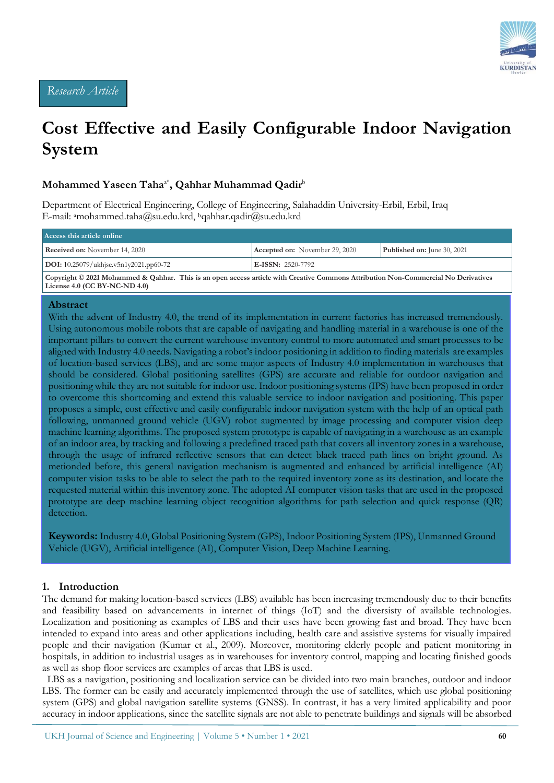

# **Cost Effective and Easily Configurable Indoor Navigation System**

# **Mohammed Yaseen Taha**a\***, Qahhar Muhammad Qadir**<sup>b</sup>

Department of Electrical Engineering, College of Engineering, Salahaddin University-Erbil, Erbil, Iraq E-mail: <sup>a</sup>mohammed.taha@su.edu.krd, <sup>b</sup>qahhar.qadir@su.edu.krd

| Access this article online               |                                       |                                    |  |  |  |  |  |
|------------------------------------------|---------------------------------------|------------------------------------|--|--|--|--|--|
| <b>Received on:</b> November 14, 2020    | <b>Accepted on:</b> November 29, 2020 | <b>Published on:</b> June 30, 2021 |  |  |  |  |  |
| $DOI: 10.25079/ukhise.v5n1v2021.pp60-72$ | $E\text{-ISSN: } 2520 - 7792$         |                                    |  |  |  |  |  |

**Copyright © 2021 Mohammed & Qahhar. This is an open access article with Creative Commons Attribution Non-Commercial No Derivatives License 4.0 (CC BY-NC-ND 4.0)**

#### **Abstract**

With the advent of Industry 4.0, the trend of its implementation in current factories has increased tremendously. Using autonomous mobile robots that are capable of navigating and handling material in a warehouse is one of the important pillars to convert the current warehouse inventory control to more automated and smart processes to be aligned with Industry 4.0 needs. Navigating a robot's indoor positioning in addition to finding materials are examples of location-based services (LBS), and are some major aspects of Industry 4.0 implementation in warehouses that should be considered. Global positioning satellites (GPS) are accurate and reliable for outdoor navigation and positioning while they are not suitable for indoor use. Indoor positioning systems (IPS) have been proposed in order to overcome this shortcoming and extend this valuable service to indoor navigation and positioning. This paper proposes a simple, cost effective and easily configurable indoor navigation system with the help of an optical path following, unmanned ground vehicle (UGV) robot augmented by image processing and computer vision deep machine learning algorithms. The proposed system prototype is capable of navigating in a warehouse as an example of an indoor area, by tracking and following a predefined traced path that covers all inventory zones in a warehouse, through the usage of infrared reflective sensors that can detect black traced path lines on bright ground. As metionded before, this general navigation mechanism is augmented and enhanced by artificial intelligence (AI) computer vision tasks to be able to select the path to the required inventory zone as its destination, and locate the requested material within this inventory zone. The adopted AI computer vision tasks that are used in the proposed prototype are deep machine learning object recognition algorithms for path selection and quick response (QR) detection.

**Keywords:** Industry 4.0, Global Positioning System (GPS), Indoor Positioning System (IPS), Unmanned Ground Vehicle (UGV), Artificial intelligence (AI), Computer Vision, Deep Machine Learning.

#### **1. Introduction**

The demand for making location-based services (LBS) available has been increasing tremendously due to their benefits and feasibility based on advancements in internet of things (IoT) and the diversisty of available technologies. Localization and positioning as examples of LBS and their uses have been growing fast and broad. They have been intended to expand into areas and other applications including, health care and assistive systems for visually impaired people and their navigation (Kumar et al., 2009). Moreover, monitoring elderly people and patient monitoring in hospitals, in addition to industrial usages as in warehouses for inventory control, mapping and locating finished goods as well as shop floor services are examples of areas that LBS is used.

 LBS as a navigation, positioning and localization service can be divided into two main branches, outdoor and indoor LBS. The former can be easily and accurately implemented through the use of satellites, which use global positioning system (GPS) and global navigation satellite systems (GNSS). In contrast, it has a very limited applicability and poor accuracy in indoor applications, since the satellite signals are not able to penetrate buildings and signals will be absorbed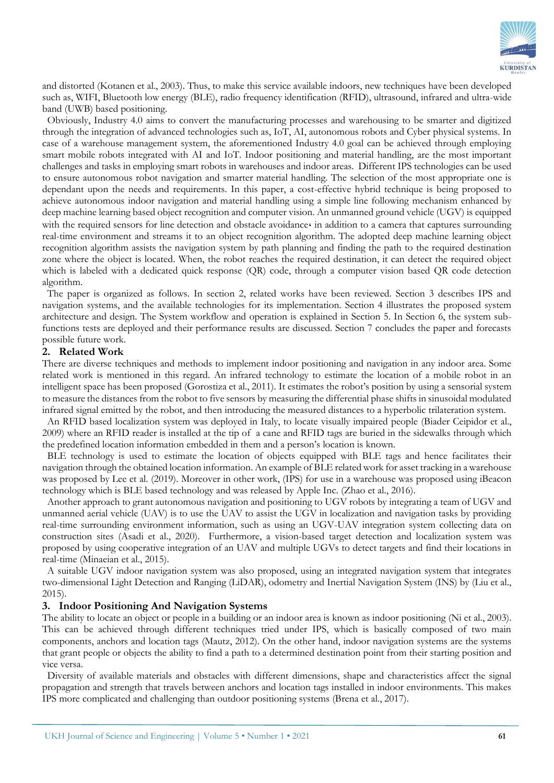

and distorted (Kotanen et al., 2003). Thus, to make this service available indoors, new techniques have been developed such as, WIFI, Bluetooth low energy (BLE), radio frequency identification (RFID), ultrasound, infrared and ultra-wide band (UWB) based positioning.

 Obviously, Industry 4.0 aims to convert the manufacturing processes and warehousing to be smarter and digitized through the integration of advanced technologies such as, IoT, AI, autonomous robots and Cyber physical systems. In case of a warehouse management system, the aforementioned Industry 4.0 goal can be achieved through employing smart mobile robots integrated with AI and IoT. Indoor positioning and material handling, are the most important challenges and tasks in employing smart robots in warehouses and indoor areas. Different IPS technologies can be used to ensure autonomous robot navigation and smarter material handling. The selection of the most appropriate one is dependant upon the needs and requirements. In this paper, a cost-effective hybrid technique is being proposed to achieve autonomous indoor navigation and material handling using a simple line following mechanism enhanced by deep machine learning based object recognition and computer vision. An unmanned ground vehicle (UGV) is equipped with the required sensors for line detection and obstacle avoidance in addition to a camera that captures surrounding real-time environment and streams it to an object recognition algorithm. The adopted deep machine learning object recognition algorithm assists the navigation system by path planning and finding the path to the required destination zone where the object is located. When, the robot reaches the required destination, it can detect the required object which is labeled with a dedicated quick response (QR) code, through a computer vision based QR code detection algorithm.

 The paper is organized as follows. In section 2, related works have been reviewed. Section 3 describes IPS and navigation systems, and the available technologies for its implementation. Section 4 illustrates the proposed system architecture and design. The System workflow and operation is explained in Section 5. In Section 6, the system subfunctions tests are deployed and their performance results are discussed. Section 7 concludes the paper and forecasts possible future work.

#### **2. Related Work**

There are diverse techniques and methods to implement indoor positioning and navigation in any indoor area. Some related work is mentioned in this regard. An infrared technology to estimate the location of a mobile robot in an intelligent space has been proposed (Gorostiza et al., 2011). It estimates the robot's position by using a sensorial system to measure the distances from the robot to five sensors by measuring the differential phase shifts in sinusoidal modulated infrared signal emitted by the robot, and then introducing the measured distances to a hyperbolic trilateration system.

 An RFID based localization system was deployed in Italy, to locate visually impaired people (Biader Ceipidor et al., 2009) where an RFID reader is installed at the tip of a cane and RFID tags are buried in the sidewalks through which the predefined location information embedded in them and a person's location is known.

 BLE technology is used to estimate the location of objects equipped with BLE tags and hence facilitates their navigation through the obtained location information. An example of BLE related work for asset tracking in a warehouse was proposed by Lee et al. (2019). Moreover in other work, (IPS) for use in a warehouse was proposed using iBeacon technology which is BLE based technology and was released by Apple Inc. (Zhao et al., 2016).

 Another approach to grant autonomous navigation and positioning to UGV robots by integrating a team of UGV and unmanned aerial vehicle (UAV) is to use the UAV to assist the UGV in localization and navigation tasks by providing real-time surrounding environment information, such as using an UGV-UAV integration system collecting data on construction sites (Asadi et al., 2020). Furthermore, a vision-based target detection and localization system was proposed by using cooperative integration of an UAV and multiple UGVs to detect targets and find their locations in real-time (Minaeian et al., 2015).

 A suitable UGV indoor navigation system was also proposed, using an integrated navigation system that integrates two-dimensional Light Detection and Ranging (LiDAR), odometry and Inertial Navigation System (INS) by (Liu et al., 2015).

#### **3. Indoor Positioning And Navigation Systems**

The ability to locate an object or people in a building or an indoor area is known as indoor positioning (Ni et al., 2003). This can be achieved through different techniques tried under IPS, which is basically composed of two main components, anchors and location tags (Mautz, 2012). On the other hand, indoor navigation systems are the systems that grant people or objects the ability to find a path to a determined destination point from their starting position and vice versa.

 Diversity of available materials and obstacles with different dimensions, shape and characteristics affect the signal propagation and strength that travels between anchors and location tags installed in indoor environments. This makes IPS more complicated and challenging than outdoor positioning systems (Brena et al., 2017).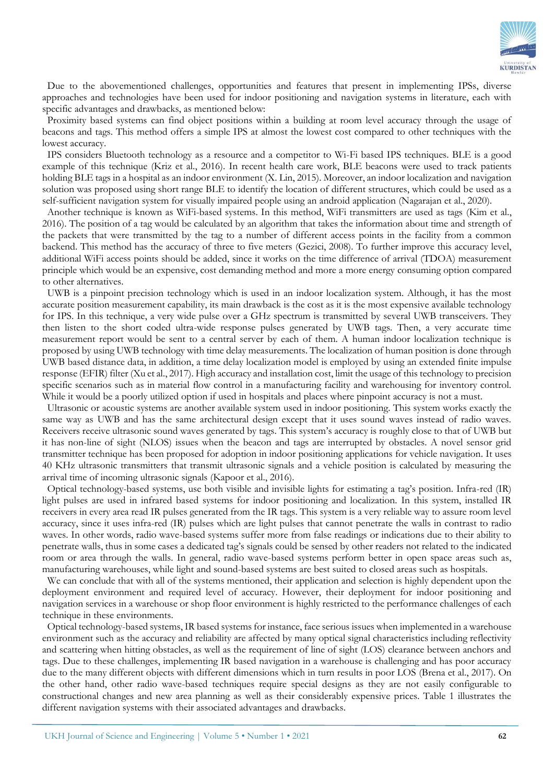

 Due to the abovementioned challenges, opportunities and features that present in implementing IPSs, diverse approaches and technologies have been used for indoor positioning and navigation systems in literature, each with specific advantages and drawbacks, as mentioned below:

 Proximity based systems can find object positions within a building at room level accuracy through the usage of beacons and tags. This method offers a simple IPS at almost the lowest cost compared to other techniques with the lowest accuracy.

 IPS considers Bluetooth technology as a resource and a competitor to Wi-Fi based IPS techniques. BLE is a good example of this technique (Kriz et al., 2016). In recent health care work, BLE beacons were used to track patients holding BLE tags in a hospital as an indoor environment (X. Lin, 2015). Moreover, an indoor localization and navigation solution was proposed using short range BLE to identify the location of different structures, which could be used as a self-sufficient navigation system for visually impaired people using an android application (Nagarajan et al., 2020).

 Another technique is known as WiFi-based systems. In this method, WiFi transmitters are used as tags (Kim et al., 2016). The position of a tag would be calculated by an algorithm that takes the information about time and strength of the packets that were transmitted by the tag to a number of different access points in the facility from a common backend. This method has the accuracy of three to five meters (Gezici, 2008). To further improve this accuracy level, additional WiFi access points should be added, since it works on the time difference of arrival (TDOA) measurement principle which would be an expensive, cost demanding method and more a more energy consuming option compared to other alternatives.

 UWB is a pinpoint precision technology which is used in an indoor localization system. Although, it has the most accurate position measurement capability, its main drawback is the cost as it is the most expensive available technology for IPS. In this technique, a very wide pulse over a GHz spectrum is transmitted by several UWB transceivers. They then listen to the short coded ultra-wide response pulses generated by UWB tags. Then, a very accurate time measurement report would be sent to a central server by each of them. A human indoor localization technique is proposed by using UWB technology with time delay measurements. The localization of human position is done through UWB based distance data, in addition, a time delay localization model is employed by using an extended finite impulse response (EFIR) filter (Xu et al., 2017). High accuracy and installation cost, limit the usage of this technology to precision specific scenarios such as in material flow control in a manufacturing facility and warehousing for inventory control. While it would be a poorly utilized option if used in hospitals and places where pinpoint accuracy is not a must.

 Ultrasonic or acoustic systems are another available system used in indoor positioning. This system works exactly the same way as UWB and has the same architectural design except that it uses sound waves instead of radio waves. Receivers receive ultrasonic sound waves generated by tags. This system's accuracy is roughly close to that of UWB but it has non-line of sight (NLOS) issues when the beacon and tags are interrupted by obstacles. A novel sensor grid transmitter technique has been proposed for adoption in indoor positioning applications for vehicle navigation. It uses 40 KHz ultrasonic transmitters that transmit ultrasonic signals and a vehicle position is calculated by measuring the arrival time of incoming ultrasonic signals (Kapoor et al., 2016).

 Optical technology-based systems, use both visible and invisible lights for estimating a tag's position. Infra-red (IR) light pulses are used in infrared based systems for indoor positioning and localization. In this system, installed IR receivers in every area read IR pulses generated from the IR tags. This system is a very reliable way to assure room level accuracy, since it uses infra-red (IR) pulses which are light pulses that cannot penetrate the walls in contrast to radio waves. In other words, radio wave-based systems suffer more from false readings or indications due to their ability to penetrate walls, thus in some cases a dedicated tag's signals could be sensed by other readers not related to the indicated room or area through the walls. In general, radio wave-based systems perform better in open space areas such as, manufacturing warehouses, while light and sound-based systems are best suited to closed areas such as hospitals.

 We can conclude that with all of the systems mentioned, their application and selection is highly dependent upon the deployment environment and required level of accuracy. However, their deployment for indoor positioning and navigation services in a warehouse or shop floor environment is highly restricted to the performance challenges of each technique in these environments.

 Optical technology-based systems, IR based systems for instance, face serious issues when implemented in a warehouse environment such as the accuracy and reliability are affected by many optical signal characteristics including reflectivity and scattering when hitting obstacles, as well as the requirement of line of sight (LOS) clearance between anchors and tags. Due to these challenges, implementing IR based navigation in a warehouse is challenging and has poor accuracy due to the many different objects with different dimensions which in turn results in poor LOS (Brena et al., 2017). On the other hand, other radio wave-based techniques require special designs as they are not easily configurable to constructional changes and new area planning as well as their considerably expensive prices. Table 1 illustrates the different navigation systems with their associated advantages and drawbacks.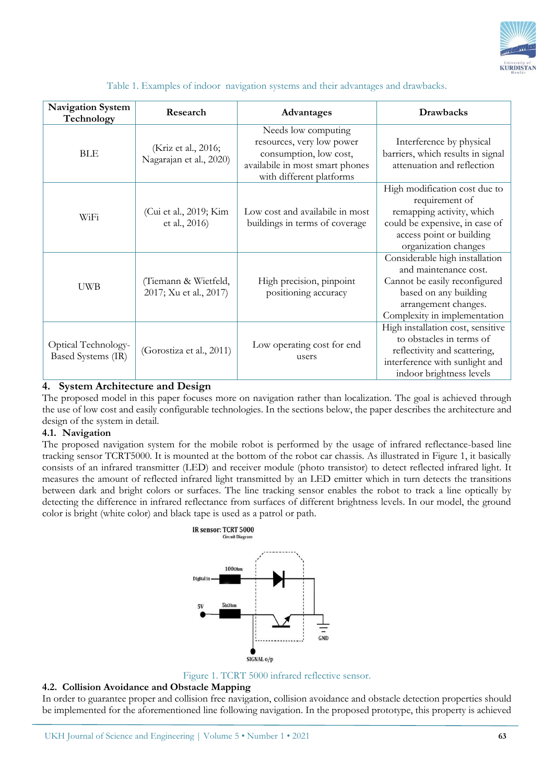

|  |  |  | Table 1. Examples of indoor navigation systems and their advantages and drawbacks. |
|--|--|--|------------------------------------------------------------------------------------|
|  |  |  |                                                                                    |

| <b>Navigation System</b><br>Technology    | Research                                       | Advantages                                                                                                                                | <b>Drawbacks</b>                                                                                                                                                          |
|-------------------------------------------|------------------------------------------------|-------------------------------------------------------------------------------------------------------------------------------------------|---------------------------------------------------------------------------------------------------------------------------------------------------------------------------|
| <b>BLE</b>                                | (Kriz et al., 2016;<br>Nagarajan et al., 2020) | Needs low computing<br>resources, very low power<br>consumption, low cost,<br>availabile in most smart phones<br>with different platforms | Interference by physical<br>barriers, which results in signal<br>attenuation and reflection                                                                               |
| WiF <sub>i</sub>                          | (Cui et al., 2019; Kim<br>et al., 2016)        | Low cost and availabile in most<br>buildings in terms of coverage                                                                         | High modification cost due to<br>requirement of<br>remapping activity, which<br>could be expensive, in case of<br>access point or building<br>organization changes        |
| <b>UWB</b>                                | (Tiemann & Wietfeld,<br>2017; Xu et al., 2017) | High precision, pinpoint<br>positioning accuracy                                                                                          | Considerable high installation<br>and maintenance cost.<br>Cannot be easily reconfigured<br>based on any building<br>arrangement changes.<br>Complexity in implementation |
| Optical Technology-<br>Based Systems (IR) | (Gorostiza et al., 2011)                       | Low operating cost for end<br>users                                                                                                       | High installation cost, sensitive<br>to obstacles in terms of<br>reflectivity and scattering,<br>interference with sunlight and<br>indoor brightness levels               |

# **4. System Architecture and Design**

The proposed model in this paper focuses more on navigation rather than localization. The goal is achieved through the use of low cost and easily configurable technologies. In the sections below, the paper describes the architecture and design of the system in detail.

#### **4.1. Navigation**

The proposed navigation system for the mobile robot is performed by the usage of infrared reflectance-based line tracking sensor TCRT5000. It is mounted at the bottom of the robot car chassis. As illustrated in Figure 1, it basically consists of an infrared transmitter (LED) and receiver module (photo transistor) to detect reflected infrared light. It measures the amount of reflected infrared light transmitted by an LED emitter which in turn detects the transitions between dark and bright colors or surfaces. The line tracking sensor enables the robot to track a line optically by detecting the difference in infrared reflectance from surfaces of different brightness levels. In our model, the ground color is bright (white color) and black tape is used as a patrol or path.





#### **4.2. Collision Avoidance and Obstacle Mapping**

In order to guarantee proper and collision free navigation, collision avoidance and obstacle detection properties should be implemented for the aforementioned line following navigation. In the proposed prototype, this property is achieved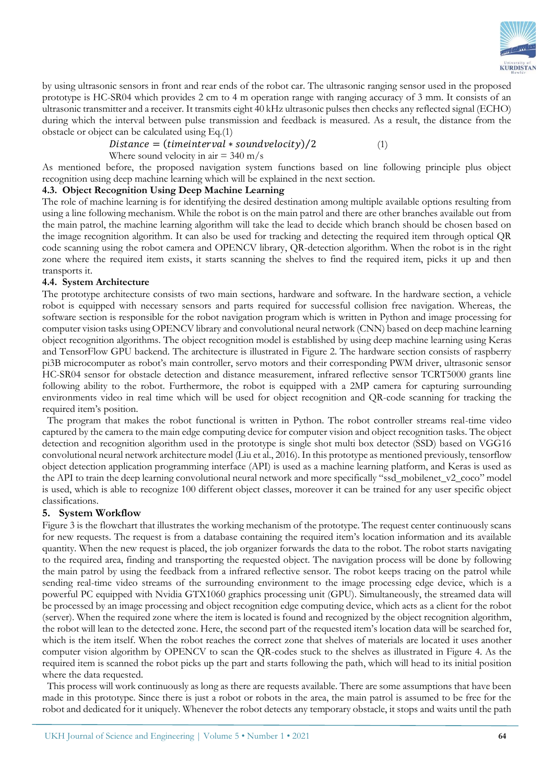

by using ultrasonic sensors in front and rear ends of the robot car. The ultrasonic ranging sensor used in the proposed prototype is HC-SR04 which provides 2 cm to 4 m operation range with ranging accuracy of 3 mm. It consists of an ultrasonic transmitter and a receiver. It transmits eight 40 kHz ultrasonic pulses then checks any reflected signal (ECHO) during which the interval between pulse transmission and feedback is measured. As a result, the distance from the obstacle or object can be calculated using Eq.(1)

 $Distance = (time interval * sound velocity)/2$  (1)

Where sound velocity in air  $=$  340 m/s

As mentioned before, the proposed navigation system functions based on line following principle plus object recognition using deep machine learning which will be explained in the next section.

# **4.3. Object Recognition Using Deep Machine Learning**

The role of machine learning is for identifying the desired destination among multiple available options resulting from using a line following mechanism. While the robot is on the main patrol and there are other branches available out from the main patrol, the machine learning algorithm will take the lead to decide which branch should be chosen based on the image recognition algorithm. It can also be used for tracking and detecting the required item through optical QR code scanning using the robot camera and OPENCV library, QR-detection algorithm. When the robot is in the right zone where the required item exists, it starts scanning the shelves to find the required item, picks it up and then transports it.

#### **4.4. System Architecture**

The prototype architecture consists of two main sections, hardware and software. In the hardware section, a vehicle robot is equipped with necessary sensors and parts required for successful collision free navigation. Whereas, the software section is responsible for the robot navigation program which is written in Python and image processing for computer vision tasks using OPENCV library and convolutional neural network (CNN) based on deep machine learning object recognition algorithms. The object recognition model is established by using deep machine learning using Keras and TensorFlow GPU backend. The architecture is illustrated in Figure 2. The hardware section consists of raspberry pi3B microcomputer as robot's main controller, servo motors and their corresponding PWM driver, ultrasonic sensor HC-SR04 sensor for obstacle detection and distance measurement, infrared reflective sensor TCRT5000 grants line following ability to the robot. Furthermore, the robot is equipped with a 2MP camera for capturing surrounding environments video in real time which will be used for object recognition and QR-code scanning for tracking the required item's position.

 The program that makes the robot functional is written in Python. The robot controller streams real-time video captured by the camera to the main edge computing device for computer vision and object recognition tasks. The object detection and recognition algorithm used in the prototype is single shot multi box detector (SSD) based on VGG16 convolutional neural network architecture model (Liu et al., 2016). In this prototype as mentioned previously, tensorflow object detection application programming interface (API) is used as a machine learning platform, and Keras is used as the API to train the deep learning convolutional neural network and more specifically "[ssd\\_mobilenet\\_v2\\_coco](http://download.tensorflow.org/models/object_detection/ssd_mobilenet_v2_coco_2018_03_29.tar.gz)" model is used, which is able to recognize 100 different object classes, moreover it can be trained for any user specific object classifications.

#### **5. System Workflow**

Figure 3 is the flowchart that illustrates the working mechanism of the prototype. The request center continuously scans for new requests. The request is from a database containing the required item's location information and its available quantity. When the new request is placed, the job organizer forwards the data to the robot. The robot starts navigating to the required area, finding and transporting the requested object. The navigation process will be done by following the main patrol by using the feedback from a infrared reflective sensor. The robot keeps tracing on the patrol while sending real-time video streams of the surrounding environment to the image processing edge device, which is a powerful PC equipped with Nvidia GTX1060 graphics processing unit (GPU). Simultaneously, the streamed data will be processed by an image processing and object recognition edge computing device, which acts as a client for the robot (server). When the required zone where the item is located is found and recognized by the object recognition algorithm, the robot will lean to the detected zone. Here, the second part of the requested item's location data will be searched for, which is the item itself. When the robot reaches the correct zone that shelves of materials are located it uses another computer vision algorithm by OPENCV to scan the QR-codes stuck to the shelves as illustrated in Figure 4. As the required item is scanned the robot picks up the part and starts following the path, which will head to its initial position where the data requested.

 This process will work continuously as long as there are requests available. There are some assumptions that have been made in this prototype. Since there is just a robot or robots in the area, the main patrol is assumed to be free for the robot and dedicated for it uniquely. Whenever the robot detects any temporary obstacle, it stops and waits until the path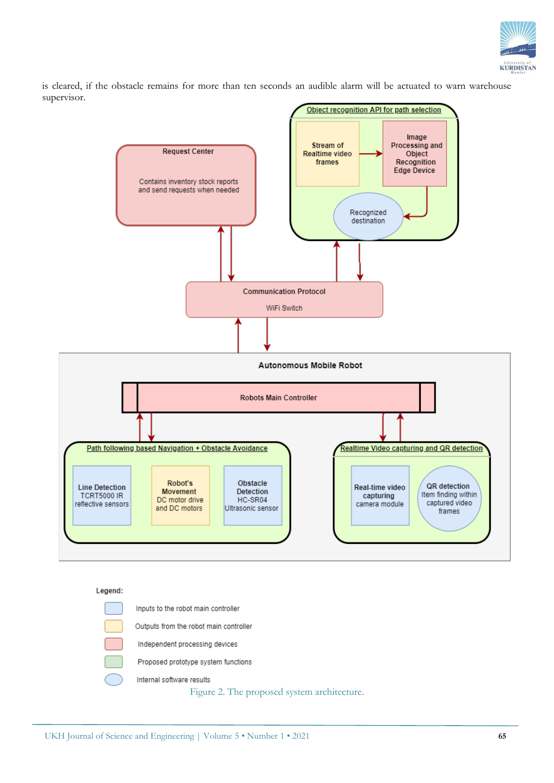

is cleared, if the obstacle remains for more than ten seconds an audible alarm will be actuated to warn warehouse supervisor.



#### Legend:

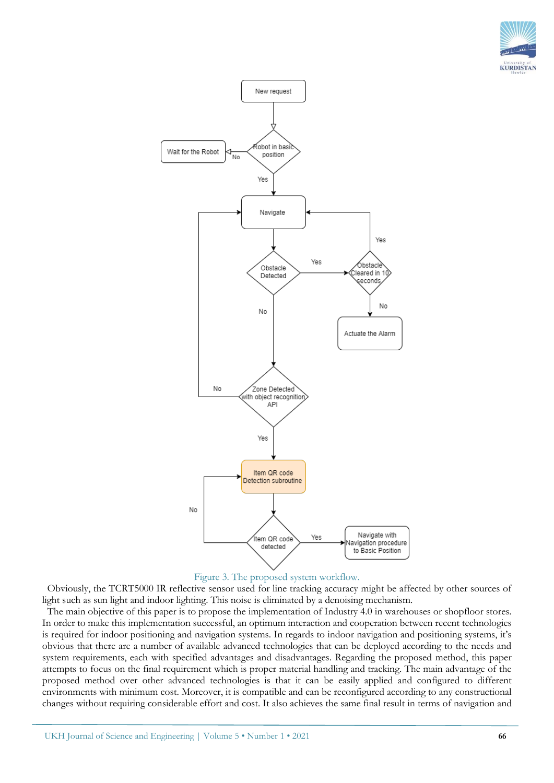





 Obviously, the TCRT5000 IR reflective sensor used for line tracking accuracy might be affected by other sources of light such as sun light and indoor lighting. This noise is eliminated by a denoising mechanism.

 The main objective of this paper is to propose the implementation of Industry 4.0 in warehouses or shopfloor stores. In order to make this implementation successful, an optimum interaction and cooperation between recent technologies is required for indoor positioning and navigation systems. In regards to indoor navigation and positioning systems, it's obvious that there are a number of available advanced technologies that can be deployed according to the needs and system requirements, each with specified advantages and disadvantages. Regarding the proposed method, this paper attempts to focus on the final requirement which is proper material handling and tracking. The main advantage of the proposed method over other advanced technologies is that it can be easily applied and configured to different environments with minimum cost. Moreover, it is compatible and can be reconfigured according to any constructional changes without requiring considerable effort and cost. It also achieves the same final result in terms of navigation and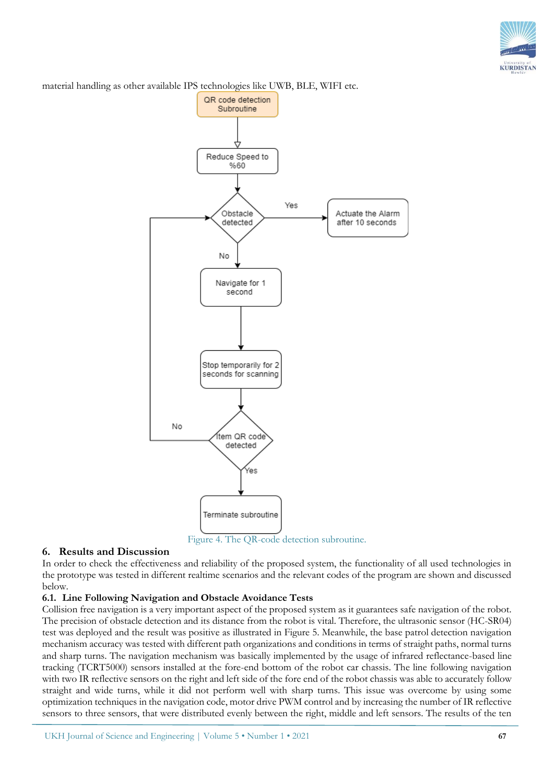

material handling as other available IPS technologies like UWB, BLE, WIFI etc.



Figure 4. The QR-code detection subroutine.

#### **6. Results and Discussion**

In order to check the effectiveness and reliability of the proposed system, the functionality of all used technologies in the prototype was tested in different realtime scenarios and the relevant codes of the program are shown and discussed below.

# **6.1. Line Following Navigation and Obstacle Avoidance Tests**

Collision free navigation is a very important aspect of the proposed system as it guarantees safe navigation of the robot. The precision of obstacle detection and its distance from the robot is vital. Therefore, the ultrasonic sensor (HC-SR04) test was deployed and the result was positive as illustrated in Figure 5. Meanwhile, the base patrol detection navigation mechanism accuracy was tested with different path organizations and conditions in terms of straight paths, normal turns and sharp turns. The navigation mechanism was basically implemented by the usage of infrared reflectance-based line tracking (TCRT5000) sensors installed at the fore-end bottom of the robot car chassis. The line following navigation with two IR reflective sensors on the right and left side of the fore end of the robot chassis was able to accurately follow straight and wide turns, while it did not perform well with sharp turns. This issue was overcome by using some optimization techniques in the navigation code, motor drive PWM control and by increasing the number of IR reflective sensors to three sensors, that were distributed evenly between the right, middle and left sensors. The results of the ten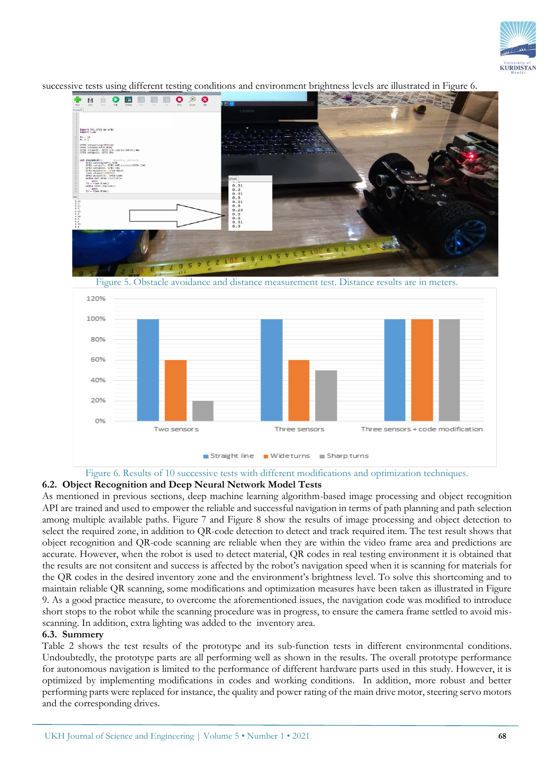



successive tests using different testing conditions and environment brightness levels are illustrated in Figure 6.



Figure 6. Results of 10 successive tests with different modifications and optimization techniques.

**6.2. Object Recognition and Deep Neural Network Model Tests**

As mentioned in previous sections, deep machine learning algorithm-based image processing and object recognition API are trained and used to empower the reliable and successful navigation in terms of path planning and path selection among multiple available paths. Figure 7 and Figure 8 show the results of image processing and object detection to select the required zone, in addition to QR-code detection to detect and track required item. The test result shows that object recognition and QR-code scanning are reliable when they are within the video frame area and predictions are accurate. However, when the robot is used to detect material, QR codes in real testing environment it is obtained that the results are not consitent and success is affected by the robot's navigation speed when it is scanning for materials for the QR codes in the desired inventory zone and the environment's brightness level. To solve this shortcoming and to maintain reliable QR scanning, some modifications and optimization measures have been taken as illustrated in Figure 9. As a good practice measure, to overcome the aforementioned issues, the navigation code was modified to introduce short stops to the robot while the scanning procedure was in progress, to ensure the camera frame settled to avoid misscanning. In addition, extra lighting was added to the inventory area.

# **6.3. Summery**

Table 2 shows the test results of the prototype and its sub-function tests in different environmental conditions. Undoubtedly, the prototype parts are all performing well as shown in the results. The overall prototype performance for autonomous navigation is limited to the performance of different hardware parts used in this study. However, it is optimized by implementing modifications in codes and working conditions. In addition, more robust and better performing parts were replaced for instance, the quality and power rating of the main drive motor, steering servo motors and the corresponding drives.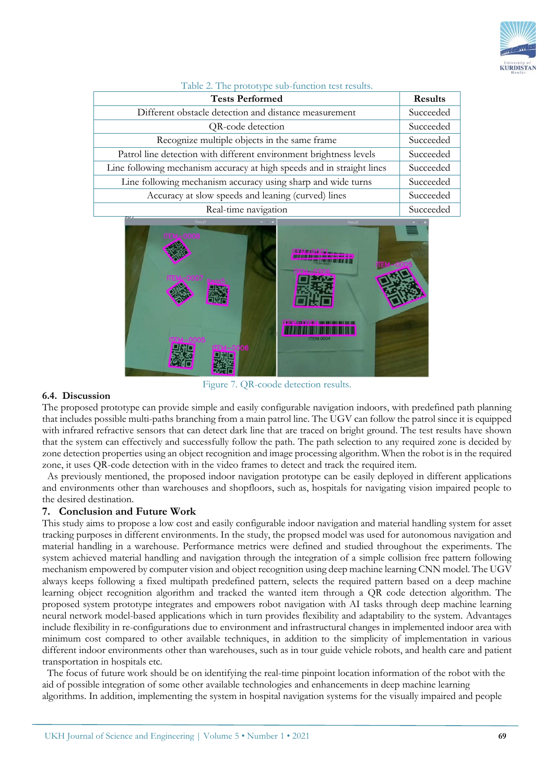

| <b>Tests Performed</b>                                                 | <b>Results</b> |
|------------------------------------------------------------------------|----------------|
| Different obstacle detection and distance measurement                  | Succeeded      |
| QR-code detection                                                      | Succeeded      |
| Recognize multiple objects in the same frame                           | Succeeded      |
| Patrol line detection with different environment brightness levels     | Succeeded      |
| Line following mechanism accuracy at high speeds and in straight lines | Succeeded      |
| Line following mechanism accuracy using sharp and wide turns           | Succeeded      |
| Accuracy at slow speeds and leaning (curved) lines                     | Succeeded      |
| Real-time navigation                                                   | Succeeded      |

Table 2. The prototype sub-function test results.



#### **6.4. Discussion**

The proposed prototype can provide simple and easily configurable navigation indoors, with predefined path planning that includes possible multi-paths branching from a main patrol line. The UGV can follow the patrol since it is equipped with infrared refractive sensors that can detect dark line that are traced on bright ground. The test results have shown that the system can effectively and successfully follow the path. The path selection to any required zone is decided by zone detection properties using an object recognition and image processing algorithm. When the robot is in the required zone, it uses QR-code detection with in the video frames to detect and track the required item.

 As previously mentioned, the proposed indoor navigation prototype can be easily deployed in different applications and environments other than warehouses and shopfloors, such as, hospitals for navigating vision impaired people to the desired destination.

# **7. Conclusion and Future Work**

This study aims to propose a low cost and easily configurable indoor navigation and material handling system for asset tracking purposes in different environments. In the study, the propsed model was used for autonomous navigation and material handling in a warehouse. Performance metrics were defined and studied throughout the experiments. The system achieved material handling and navigation through the integration of a simple collision free pattern following mechanism empowered by computer vision and object recognition using deep machine learning CNN model. The UGV always keeps following a fixed multipath predefined pattern, selects the required pattern based on a deep machine learning object recognition algorithm and tracked the wanted item through a QR code detection algorithm. The proposed system prototype integrates and empowers robot navigation with AI tasks through deep machine learning neural network model-based applications which in turn provides flexibility and adaptability to the system. Advantages include flexibility in re-configurations due to environment and infrastructural changes in implemented indoor area with minimum cost compared to other available techniques, in addition to the simplicity of implementation in various different indoor environments other than warehouses, such as in tour guide vehicle robots, and health care and patient transportation in hospitals etc.

 The focus of future work should be on identifying the real-time pinpoint location information of the robot with the aid of possible integration of some other available technologies and enhancements in deep machine learning algorithms. In addition, implementing the system in hospital navigation systems for the visually impaired and people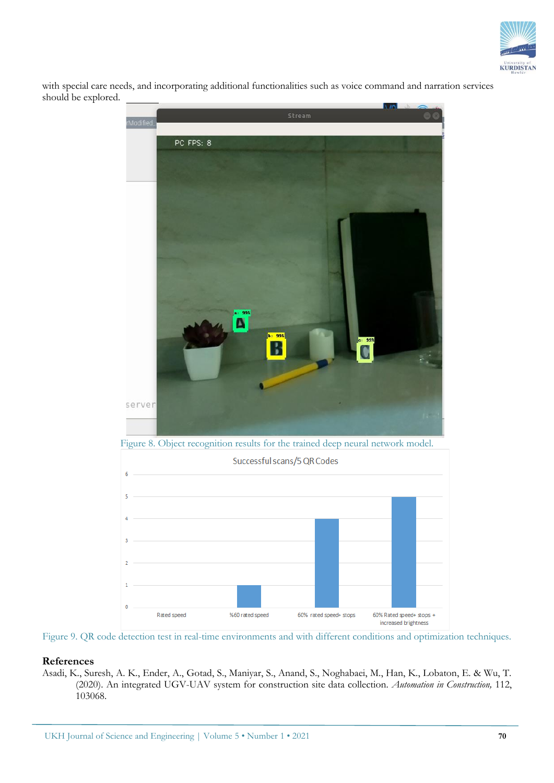

with special care needs, and incorporating additional functionalities such as voice command and narration services should be explored.



Figure 9. QR code detection test in real-time environments and with different conditions and optimization techniques.

### **References**

Asadi, K., Suresh, A. K., Ender, A., Gotad, S., Maniyar, S., Anand, S., Noghabaei, M., Han, K., Lobaton, E. & Wu, T. (2020). An integrated UGV-UAV system for construction site data collection. *Automation in Construction,* 112, 103068.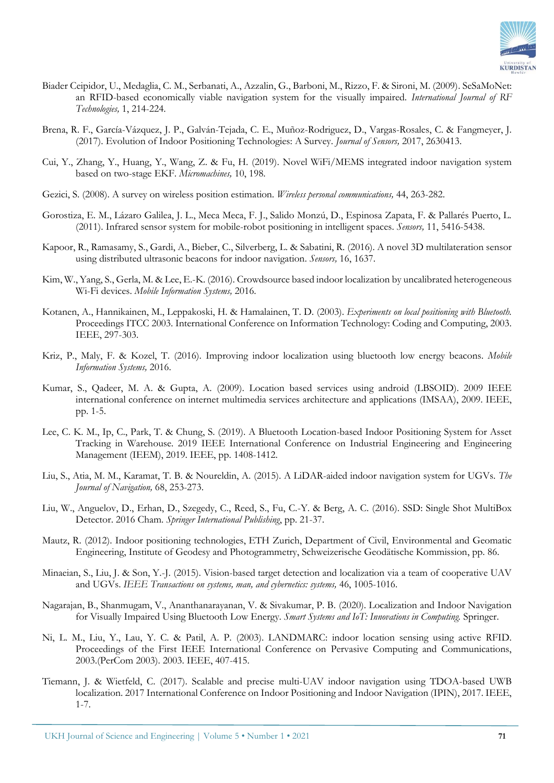

- Biader Ceipidor, U., Medaglia, C. M., Serbanati, A., Azzalin, G., Barboni, M., Rizzo, F. & Sironi, M. (2009). SeSaMoNet: an RFID-based economically viable navigation system for the visually impaired. *International Journal of RF Technologies,* 1, 214-224.
- Brena, R. F., García-Vázquez, J. P., Galván-Tejada, C. E., Muñoz-Rodriguez, D., Vargas-Rosales, C. & Fangmeyer, J. (2017). Evolution of Indoor Positioning Technologies: A Survey. *Journal of Sensors,* 2017, 2630413.
- Cui, Y., Zhang, Y., Huang, Y., Wang, Z. & Fu, H. (2019). Novel WiFi/MEMS integrated indoor navigation system based on two-stage EKF. *Micromachines,* 10, 198.
- Gezici, S. (2008). A survey on wireless position estimation. *Wireless personal communications,* 44, 263-282.
- Gorostiza, E. M., Lázaro Galilea, J. L., Meca Meca, F. J., Salido Monzú, D., Espinosa Zapata, F. & Pallarés Puerto, L. (2011). Infrared sensor system for mobile-robot positioning in intelligent spaces. *Sensors,* 11, 5416-5438.
- Kapoor, R., Ramasamy, S., Gardi, A., Bieber, C., Silverberg, L. & Sabatini, R. (2016). A novel 3D multilateration sensor using distributed ultrasonic beacons for indoor navigation. *Sensors,* 16, 1637.
- Kim, W., Yang, S., Gerla, M. & Lee, E.-K. (2016). Crowdsource based indoor localization by uncalibrated heterogeneous Wi-Fi devices. *Mobile Information Systems,* 2016.
- Kotanen, A., Hannikainen, M., Leppakoski, H. & Hamalainen, T. D. (2003). *Experiments on local positioning with Bluetooth.* Proceedings ITCC 2003. International Conference on Information Technology: Coding and Computing, 2003. IEEE, 297-303.
- Kriz, P., Maly, F. & Kozel, T. (2016). Improving indoor localization using bluetooth low energy beacons. *Mobile Information Systems,* 2016.
- Kumar, S., Qadeer, M. A. & Gupta, A. (2009). Location based services using android (LBSOID). 2009 IEEE international conference on internet multimedia services architecture and applications (IMSAA), 2009. IEEE, pp. 1-5.
- Lee, C. K. M., Ip, C., Park, T. & Chung, S. (2019). A Bluetooth Location-based Indoor Positioning System for Asset Tracking in Warehouse. 2019 IEEE International Conference on Industrial Engineering and Engineering Management (IEEM), 2019. IEEE, pp. 1408-1412.
- Liu, S., Atia, M. M., Karamat, T. B. & Noureldin, A. (2015). A LiDAR-aided indoor navigation system for UGVs. *The Journal of Navigation,* 68, 253-273.
- Liu, W., Anguelov, D., Erhan, D., Szegedy, C., Reed, S., Fu, C.-Y. & Berg, A. C. (2016). SSD: Single Shot MultiBox Detector. 2016 Cham. *Springer International Publishing*, pp. 21-37.
- Mautz, R. (2012). Indoor positioning technologies, ETH Zurich, Department of Civil, Environmental and Geomatic Engineering, Institute of Geodesy and Photogrammetry, Schweizerische Geodätische Kommission, pp. 86.
- Minaeian, S., Liu, J. & Son, Y.-J. (2015). Vision-based target detection and localization via a team of cooperative UAV and UGVs. *IEEE Transactions on systems, man, and cybernetics: systems,* 46, 1005-1016.
- Nagarajan, B., Shanmugam, V., Ananthanarayanan, V. & Sivakumar, P. B. (2020). Localization and Indoor Navigation for Visually Impaired Using Bluetooth Low Energy. *Smart Systems and IoT: Innovations in Computing.* Springer.
- Ni, L. M., Liu, Y., Lau, Y. C. & Patil, A. P. (2003). LANDMARC: indoor location sensing using active RFID. Proceedings of the First IEEE International Conference on Pervasive Computing and Communications, 2003.(PerCom 2003). 2003. IEEE, 407-415.
- Tiemann, J. & Wietfeld, C. (2017). Scalable and precise multi-UAV indoor navigation using TDOA-based UWB localization. 2017 International Conference on Indoor Positioning and Indoor Navigation (IPIN), 2017. IEEE, 1-7.